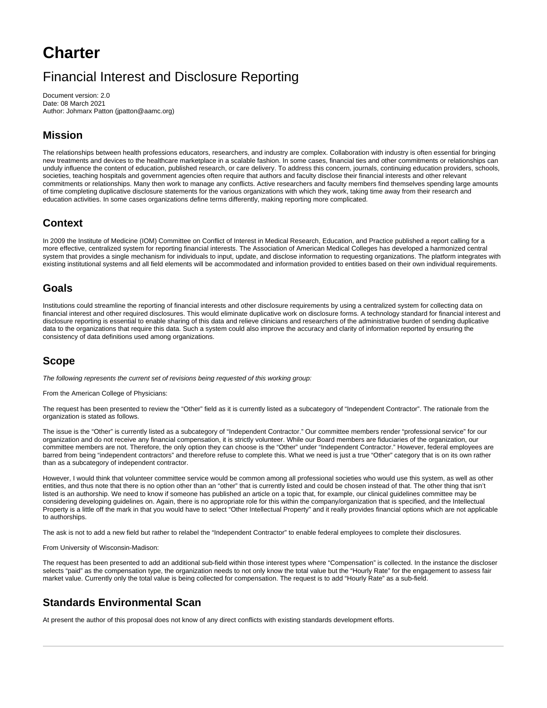# **Charter**

## Financial Interest and Disclosure Reporting

Document version: 2.0 Date: 08 March 2021 Author: Johmarx Patton (jpatton@aamc.org)

### **Mission**

The relationships between health professions educators, researchers, and industry are complex. Collaboration with industry is often essential for bringing new treatments and devices to the healthcare marketplace in a scalable fashion. In some cases, financial ties and other commitments or relationships can unduly influence the content of education, published research, or care delivery. To address this concern, journals, continuing education providers, schools, societies, teaching hospitals and government agencies often require that authors and faculty disclose their financial interests and other relevant commitments or relationships. Many then work to manage any conflicts. Active researchers and faculty members find themselves spending large amounts of time completing duplicative disclosure statements for the various organizations with which they work, taking time away from their research and education activities. In some cases organizations define terms differently, making reporting more complicated.

### **Context**

In 2009 the Institute of Medicine (IOM) Committee on Conflict of Interest in Medical Research, Education, and Practice published a report calling for a more effective, centralized system for reporting financial interests. The Association of American Medical Colleges has developed a harmonized central system that provides a single mechanism for individuals to input, update, and disclose information to requesting organizations. The platform integrates with existing institutional systems and all field elements will be accommodated and information provided to entities based on their own individual requirements.

#### **Goals**

Institutions could streamline the reporting of financial interests and other disclosure requirements by using a centralized system for collecting data on financial interest and other required disclosures. This would eliminate duplicative work on disclosure forms. A technology standard for financial interest and disclosure reporting is essential to enable sharing of this data and relieve clinicians and researchers of the administrative burden of sending duplicative data to the organizations that require this data. Such a system could also improve the accuracy and clarity of information reported by ensuring the consistency of data definitions used among organizations.

### **Scope**

The following represents the current set of revisions being requested of this working group:

From the American College of Physicians:

The request has been presented to review the "Other" field as it is currently listed as a subcategory of "Independent Contractor". The rationale from the organization is stated as follows.

The issue is the "Other" is currently listed as a subcategory of "Independent Contractor." Our committee members render "professional service" for our organization and do not receive any financial compensation, it is strictly volunteer. While our Board members are fiduciaries of the organization, our committee members are not. Therefore, the only option they can choose is the "Other" under "Independent Contractor." However, federal employees are barred from being "independent contractors" and therefore refuse to complete this. What we need is just a true "Other" category that is on its own rather than as a subcategory of independent contractor.

However, I would think that volunteer committee service would be common among all professional societies who would use this system, as well as other entities, and thus note that there is no option other than an "other" that is currently listed and could be chosen instead of that. The other thing that isn't listed is an authorship. We need to know if someone has published an article on a topic that, for example, our clinical guidelines committee may be considering developing guidelines on. Again, there is no appropriate role for this within the company/organization that is specified, and the Intellectual Property is a little off the mark in that you would have to select "Other Intellectual Property" and it really provides financial options which are not applicable to authorships.

The ask is not to add a new field but rather to relabel the "Independent Contractor" to enable federal employees to complete their disclosures.

From University of Wisconsin-Madison:

The request has been presented to add an additional sub-field within those interest types where "Compensation" is collected. In the instance the discloser selects "paid" as the compensation type, the organization needs to not only know the total value but the "Hourly Rate" for the engagement to assess fair market value. Currently only the total value is being collected for compensation. The request is to add "Hourly Rate" as a sub-field.

#### **Standards Environmental Scan**

At present the author of this proposal does not know of any direct conflicts with existing standards development efforts.